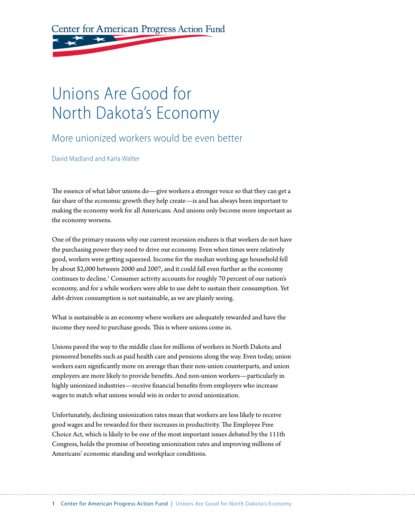Center for American Progress Action Fund

# Unions Are Good for North Dakota's Economy

#### More unionized workers would be even better

David Madland and Karla Walter

The essence of what labor unions do—give workers a stronger voice so that they can get a fair share of the economic growth they help create—is and has always been important to making the economy work for all Americans. And unions only become more important as the economy worsens.

One of the primary reasons why our current recession endures is that workers do not have the purchasing power they need to drive our economy. Even when times were relatively good, workers were getting squeezed. Income for the median working age household fell by about \$2,000 between 2000 and 2007, and it could fall even further as the economy continues to decline.<sup>1</sup> Consumer activity accounts for roughly 70 percent of our nation's economy, and for a while workers were able to use debt to sustain their consumption. Yet debt-driven consumption is not sustainable, as we are plainly seeing.

What is sustainable is an economy where workers are adequately rewarded and have the income they need to purchase goods. This is where unions come in.

Unions paved the way to the middle class for millions of workers in North Dakota and pioneered benefits such as paid health care and pensions along the way. Even today, union workers earn significantly more on average than their non-union counterparts, and union employers are more likely to provide benefits. And non-union workers—particularly in highly unionized industries—receive financial benefits from employers who increase wages to match what unions would win in order to avoid unionization.

Unfortunately, declining unionization rates mean that workers are less likely to receive good wages and be rewarded for their increases in productivity. The Employee Free Choice Act, which is likely to be one of the most important issues debated by the 111th Congress, holds the promise of boosting unionization rates and improving millions of Americans' economic standing and workplace conditions.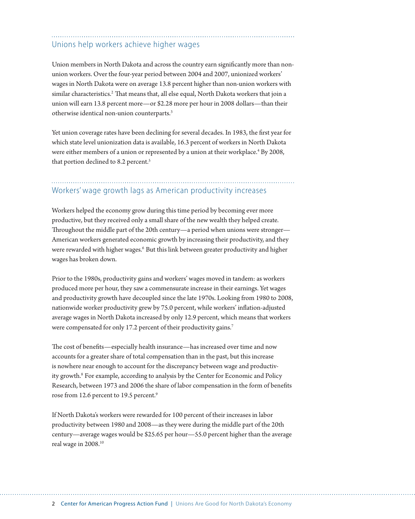#### Unions help workers achieve higher wages

Union members in North Dakota and across the country earn significantly more than nonunion workers. Over the four-year period between 2004 and 2007, unionized workers' wages in North Dakota were on average 13.8 percent higher than non-union workers with similar characteristics.<sup>2</sup> That means that, all else equal, North Dakota workers that join a union will earn 13.8 percent more—or \$2.28 more per hour in 2008 dollars—than their otherwise identical non-union counterparts.3

Yet union coverage rates have been declining for several decades. In 1983, the first year for which state level unionization data is available, 16.3 percent of workers in North Dakota were either members of a union or represented by a union at their workplace.<sup>4</sup> By 2008, that portion declined to 8.2 percent.<sup>5</sup>

### Workers' wage growth lags as American productivity increases

Workers helped the economy grow during this time period by becoming ever more productive, but they received only a small share of the new wealth they helped create. Throughout the middle part of the 20th century—a period when unions were stronger— American workers generated economic growth by increasing their productivity, and they were rewarded with higher wages.<sup>6</sup> But this link between greater productivity and higher wages has broken down.

Prior to the 1980s, productivity gains and workers' wages moved in tandem: as workers produced more per hour, they saw a commensurate increase in their earnings. Yet wages and productivity growth have decoupled since the late 1970s. Looking from 1980 to 2008, nationwide worker productivity grew by 75.0 percent, while workers' inflation-adjusted average wages in North Dakota increased by only 12.9 percent, which means that workers were compensated for only 17.2 percent of their productivity gains.<sup>7</sup>

The cost of benefits—especially health insurance—has increased over time and now accounts for a greater share of total compensation than in the past, but this increase is nowhere near enough to account for the discrepancy between wage and productivity growth.<sup>8</sup> For example, according to analysis by the Center for Economic and Policy Research, between 1973 and 2006 the share of labor compensation in the form of benefits rose from 12.6 percent to 19.5 percent.<sup>9</sup>

If North Dakota's workers were rewarded for 100 percent of their increases in labor productivity between 1980 and 2008—as they were during the middle part of the 20th century—average wages would be \$25.65 per hour—55.0 percent higher than the average real wage in 2008.10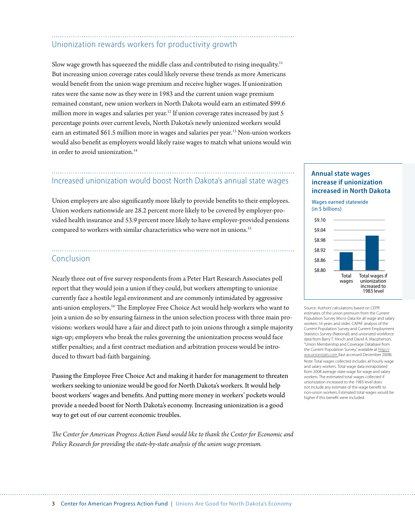### Unionization rewards workers for productivity growth

Slow wage growth has squeezed the middle class and contributed to rising inequality.11 But increasing union coverage rates could likely reverse these trends as more Americans would benefit from the union wage premium and receive higher wages. If unionization rates were the same now as they were in 1983 and the current union wage premium remained constant, new union workers in North Dakota would earn an estimated \$99.6 million more in wages and salaries per year.<sup>12</sup> If union coverage rates increased by just 5 percentage points over current levels, North Dakota's newly unionized workers would earn an estimated \$61.5 million more in wages and salaries per year.<sup>13</sup> Non-union workers would also benefit as employers would likely raise wages to match what unions would win in order to avoid unionization.<sup>14</sup>

## Increased unionization would boost North Dakota's annual state wages

Union employers are also significantly more likely to provide benefits to their employees. Union workers nationwide are 28.2 percent more likely to be covered by employer-provided health insurance and 53.9 percent more likely to have employer-provided pensions compared to workers with similar characteristics who were not in unions.<sup>15</sup>

#### Conclusion

Nearly three out of five survey respondents from a Peter Hart Research Associates poll report that they would join a union if they could, but workers attempting to unionize currently face a hostile legal environment and are commonly intimidated by aggressive anti-union employers.<sup>16</sup> The Employee Free Choice Act would help workers who want to join a union do so by ensuring fairness in the union selection process with three main provisions: workers would have a fair and direct path to join unions through a simple majority sign-up; employers who break the rules governing the unionization process would face stiffer penalties; and a first contract mediation and arbitration process would be introduced to thwart bad-faith bargaining.

Passing the Employee Free Choice Act and making it harder for management to threaten workers seeking to unionize would be good for North Dakota's workers. It would help boost workers' wages and benefits. And putting more money in workers' pockets would provide a needed boost for North Dakota's economy. Increasing unionization is a good way to get out of our current economic troubles.

*The Center for American Progress Action Fund would like to thank the Center for Economic and Policy Research for providing the state-by-state analysis of the union wage premium.*

#### **Annual state wages increase if unionization increased in North Dakota**

Wages earned statewide (in \$ billions)



Source: Authors' calculations based on CEPR estimates of the union premium from the Current Population Survey Micro-Data for all wage and salary workers 16 years and older; CAPAF analysis of the Current Population Survey and Current Employment Statistics Survey (National); and unionized workforce data from Barry T. Hirsch and David A. Macpherson, "Union Membership and Coverage Database from the Current Population Survey," available at http:// ww.unionstats.com (last accessed December 2008). Note: Total wages collected includes all hourly wage and salary workers. Total wage data extrapolated from 2008 average state wage for wage and salary workers. The estimated total wages collected if unionization increased to the 1983 level does not include any estimate of the wage benefit to non-union workers. Estimated total wages would be higher if this benefit were included.